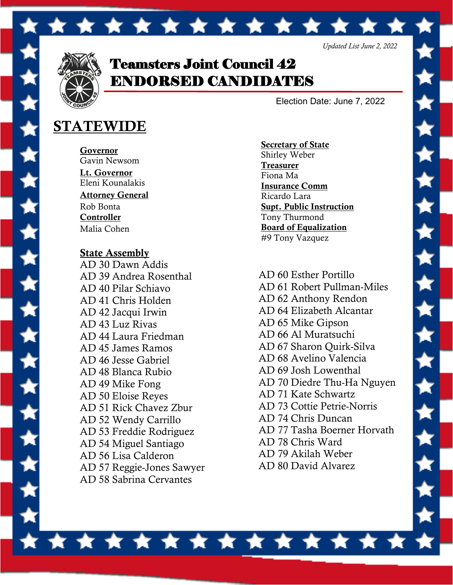

Teamsters Joint Council 42 ENDORSED CANDIDATES

\* \* \* \* \* \* \* \* \* \* \* \* \*

Election Date: June 7, 2022

## STATEWIDE

Governor Gavin Newsom Lt. Governor Eleni Kounalakis Attorney General Rob Bonta **Controller** Malia Cohen

State Assembly AD 30 Dawn Addis AD 39 Andrea Rosenthal AD 40 Pilar Schiavo AD 41 Chris Holden AD 42 Jacqui Irwin AD 43 Luz Rivas AD 44 Laura Friedman AD 45 James Ramos AD 46 Jesse Gabriel AD 48 Blanca Rubio AD 49 Mike Fong AD 50 Eloise Reyes AD 51 Rick Chavez Zbur AD 52 Wendy Carrillo AD 53 Freddie Rodriguez AD 54 Miguel Santiago AD 56 Lisa Calderon AD 57 Reggie-Jones Sawyer AD 58 Sabrina Cervantes

Secretary of State Shirley Weber **Treasurer** Fiona Ma Insurance Comm Ricardo Lara Supt. Public Instruction Tony Thurmond Board of Equalization #9 Tony Vazquez

AD 60 Esther Portillo AD 61 Robert Pullman-Miles AD 62 Anthony Rendon AD 64 Elizabeth Alcantar AD 65 Mike Gipson AD 66 Al Muratsuchi AD 67 Sharon Quirk-Silva AD 68 Avelino Valencia AD 69 Josh Lowenthal AD 70 Diedre Thu-Ha Nguyen AD 71 Kate Schwartz AD 73 Cottie Petrie-Norris AD 74 Chris Duncan AD 77 Tasha Boerner Horvath AD 78 Chris Ward AD 79 Akilah Weber AD 80 David Alvarez

ė

Â

À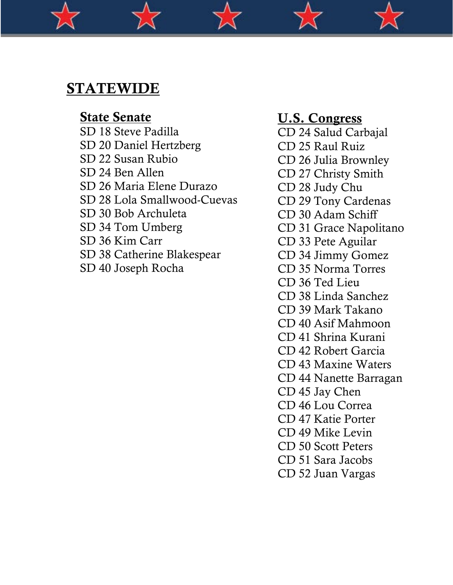## STATEWIDE

State Senate SD 18 Steve Padilla SD 20 Daniel Hertzberg SD 22 Susan Rubio SD 24 Ben Allen SD 26 Maria Elene Durazo SD 28 Lola Smallwood-Cuevas SD 30 Bob Archuleta SD 34 Tom Umberg SD 36 Kim Carr SD 38 Catherine Blakespear SD 40 Joseph Rocha

### U.S. Congress

- CD 24 Salud Carbajal
- CD 25 Raul Ruiz
- CD 26 Julia Brownley
- CD 27 Christy Smith
- CD 28 Judy Chu
- CD 29 Tony Cardenas
- CD 30 Adam Schiff
- CD 31 Grace Napolitano
- CD 33 Pete Aguilar
- CD 34 Jimmy Gomez
- CD 35 Norma Torres
- CD 36 Ted Lieu
- CD 38 Linda Sanchez
- CD 39 Mark Takano
- CD 40 Asif Mahmoon
- CD 41 Shrina Kurani
- CD 42 Robert Garcia
- CD 43 Maxine Waters
- CD 44 Nanette Barragan
- CD 45 Jay Chen
- CD 46 Lou Correa
- CD 47 Katie Porter
- CD 49 Mike Levin
- CD 50 Scott Peters
- CD 51 Sara Jacobs
- CD 52 Juan Vargas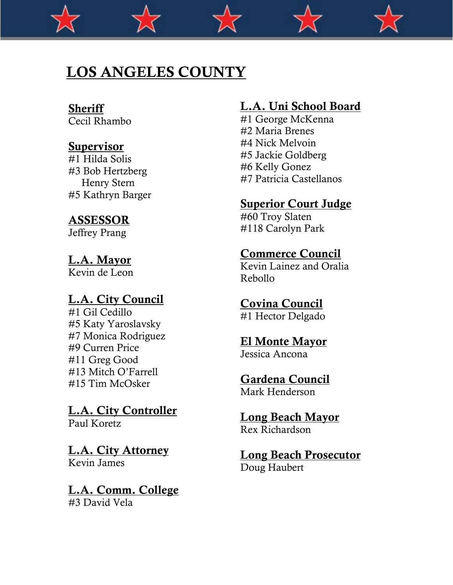# LOS ANGELES COUNTY

## **Sheriff**

Cecil Rhambo

### Supervisor

#1 Hilda Solis #3 Bob Hertzberg Henry Stern #5 Kathryn Barger

### ASSESSOR

Jeffrey Prang

### L.A. Mayor

Kevin de Leon

### L.A. City Council

#1 Gil Cedillo #5 Katy Yaroslavsky #7 Monica Rodriguez #9 Curren Price #11 Greg Good #13 Mitch O'Farrell #15 Tim McOsker

#### L.A. City Controller Paul Koretz

L.A. City Attorney Kevin James

## L.A. Comm. College

#3 David Vela

## L.A. Uni School Board

#1 George McKenna #2 Maria Brenes #4 Nick Melvoin #5 Jackie Goldberg #6 Kelly Gonez #7 Patricia Castellanos

### Superior Court Judge

#60 Troy Slaten #118 Carolyn Park

### Commerce Council

Kevin Lainez and Oralia Rebollo

### Covina Council

#1 Hector Delgado

### El Monte Mayor

Jessica Ancona

Gardena Council

Mark Henderson

Long Beach Mayor Rex Richardson

Long Beach Prosecutor Doug Haubert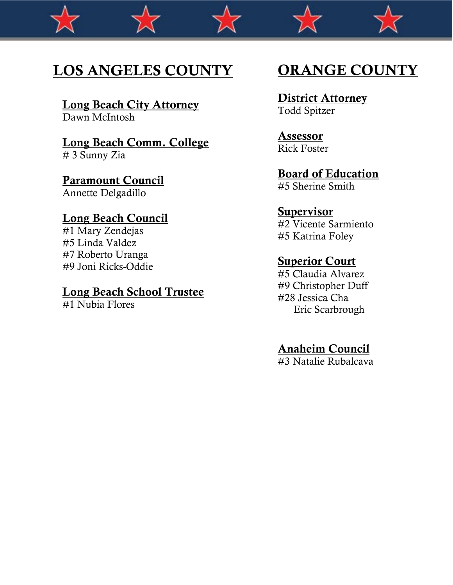# LOS ANGELES COUNTY

Long Beach City Attorney Dawn McIntosh

## Long Beach Comm. College

# 3 Sunny Zia

# Paramount Council

Annette Delgadillo

### Long Beach Council

#1 Mary Zendejas #5 Linda Valdez #7 Roberto Uranga #9 Joni Ricks-Oddie

#### Long Beach School Trustee

#1 Nubia Flores

# ORANGE COUNTY

#### **District Attorney** Todd Spitzer

Assessor Rick Foster

## Board of Education

#5 Sherine Smith

#### Supervisor

#2 Vicente Sarmiento #5 Katrina Foley

#### **Superior Court**

#5 Claudia Alvarez #9 Christopher Duff #28 Jessica Cha Eric Scarbrough

## Anaheim Council

#3 Natalie Rubalcava